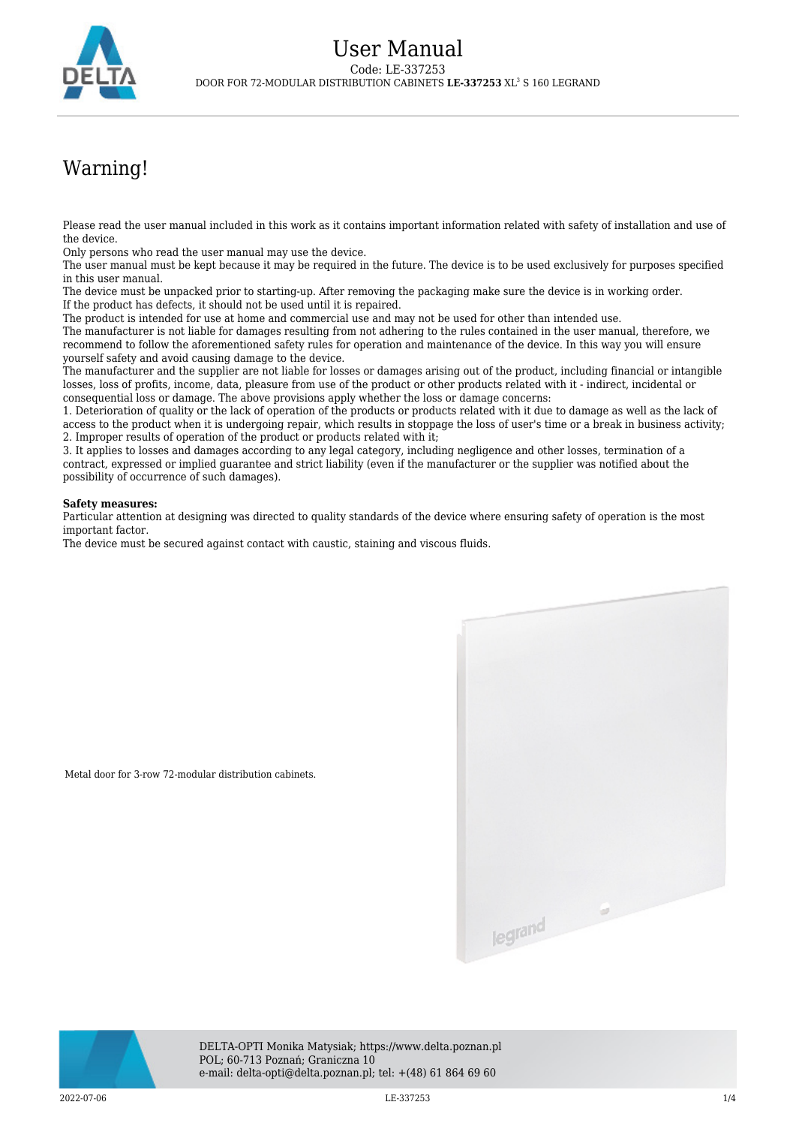

## Warning!

Please read the user manual included in this work as it contains important information related with safety of installation and use of the device.

Only persons who read the user manual may use the device.

Metal door for 3-row 72-modular distribution cabinets.

The user manual must be kept because it may be required in the future. The device is to be used exclusively for purposes specified in this user manual.

The device must be unpacked prior to starting-up. After removing the packaging make sure the device is in working order. If the product has defects, it should not be used until it is repaired.

The product is intended for use at home and commercial use and may not be used for other than intended use.

The manufacturer is not liable for damages resulting from not adhering to the rules contained in the user manual, therefore, we recommend to follow the aforementioned safety rules for operation and maintenance of the device. In this way you will ensure yourself safety and avoid causing damage to the device.

The manufacturer and the supplier are not liable for losses or damages arising out of the product, including financial or intangible losses, loss of profits, income, data, pleasure from use of the product or other products related with it - indirect, incidental or consequential loss or damage. The above provisions apply whether the loss or damage concerns:

1. Deterioration of quality or the lack of operation of the products or products related with it due to damage as well as the lack of access to the product when it is undergoing repair, which results in stoppage the loss of user's time or a break in business activity; 2. Improper results of operation of the product or products related with it;

3. It applies to losses and damages according to any legal category, including negligence and other losses, termination of a contract, expressed or implied guarantee and strict liability (even if the manufacturer or the supplier was notified about the possibility of occurrence of such damages).

## **Safety measures:**

Particular attention at designing was directed to quality standards of the device where ensuring safety of operation is the most important factor.

The device must be secured against contact with caustic, staining and viscous fluids.



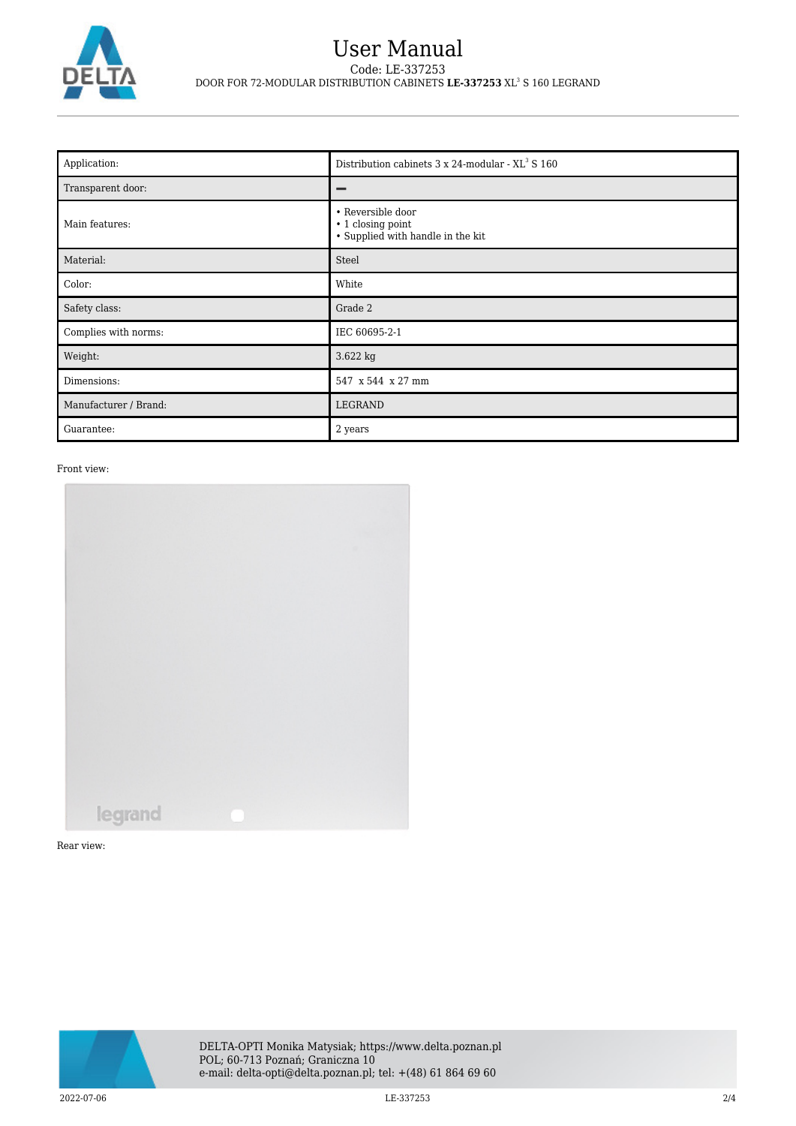

## User Manual Code: LE-337253 DOOR FOR 72-MODULAR DISTRIBUTION CABINETS **LE-337253** XL<sup>3</sup> S 160 LEGRAND

| Application:          | Distribution cabinets 3 x 24-modular - XL <sup>3</sup> S 160                |
|-----------------------|-----------------------------------------------------------------------------|
| Transparent door:     |                                                                             |
| Main features:        | • Reversible door<br>• 1 closing point<br>• Supplied with handle in the kit |
| Material:             | Steel                                                                       |
| Color:                | White                                                                       |
| Safety class:         | Grade 2                                                                     |
| Complies with norms:  | IEC 60695-2-1                                                               |
| Weight:               | 3.622 kg                                                                    |
| Dimensions:           | 547 x 544 x 27 mm                                                           |
| Manufacturer / Brand: | LEGRAND                                                                     |
| Guarantee:            | 2 years                                                                     |

Front view:



Rear view:

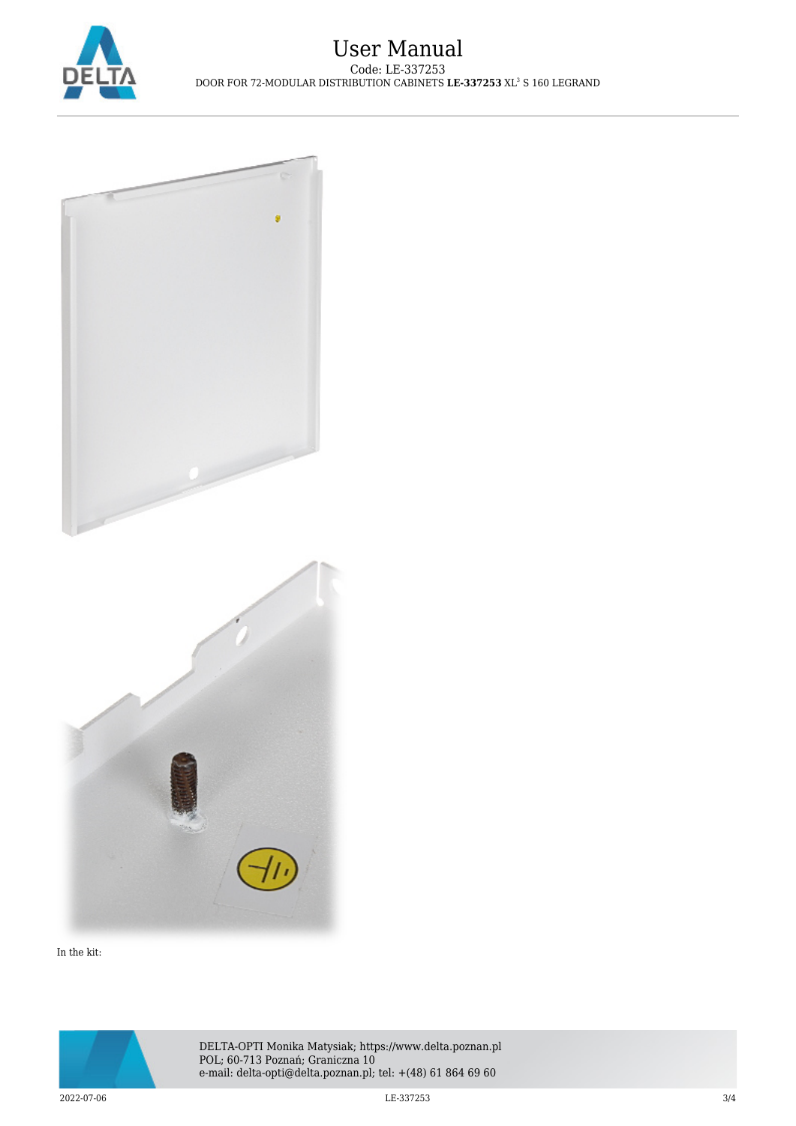



In the kit: